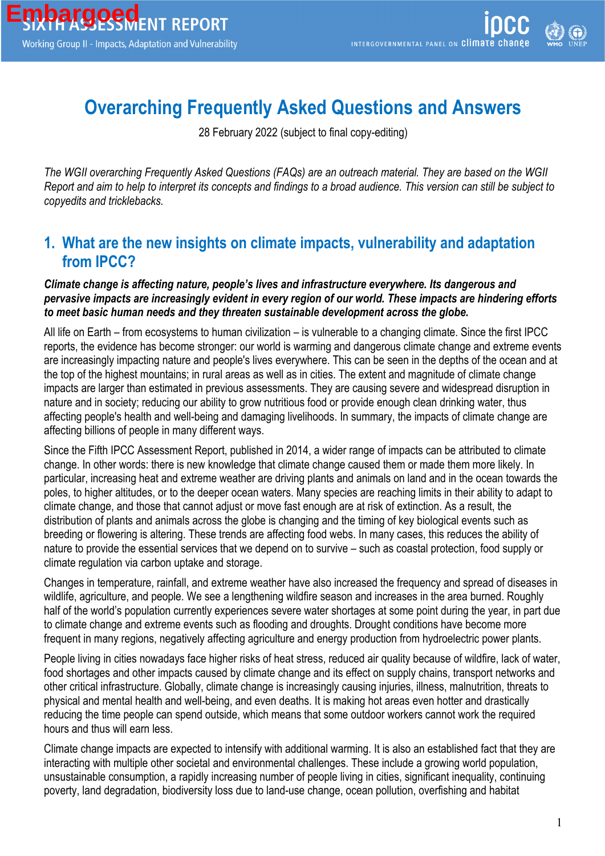# **Overarching Frequently Asked Questions and Answers**

28 February 2022 (subject to final copy-editing)

*The WGII overarching Frequently Asked Questions (FAQs) are an outreach material. They are based on the WGII Report and aim to help to interpret its concepts and findings to a broad audience. This version can still be subject to copyedits and tricklebacks.*

#### **1. What are the new insights on climate impacts, vulnerability and adaptation from IPCC?**

#### *Climate change is affecting nature, people's lives and infrastructure everywhere. Its dangerous and pervasive impacts are increasingly evident in every region of our world. These impacts are hindering efforts to meet basic human needs and they threaten sustainable development across the globe.*

All life on Earth – from ecosystems to human civilization – is vulnerable to a changing climate. Since the first IPCC reports, the evidence has become stronger: our world is warming and dangerous climate change and extreme events are increasingly impacting nature and people's lives everywhere. This can be seen in the depths of the ocean and at the top of the highest mountains; in rural areas as well as in cities. The extent and magnitude of climate change impacts are larger than estimated in previous assessments. They are causing severe and widespread disruption in nature and in society; reducing our ability to grow nutritious food or provide enough clean drinking water, thus affecting people's health and well-being and damaging livelihoods. In summary, the impacts of climate change are affecting billions of people in many different ways.

Since the Fifth IPCC Assessment Report, published in 2014, a wider range of impacts can be attributed to climate change. In other words: there is new knowledge that climate change caused them or made them more likely. In particular, increasing heat and extreme weather are driving plants and animals on land and in the ocean towards the poles, to higher altitudes, or to the deeper ocean waters. Many species are reaching limits in their ability to adapt to climate change, and those that cannot adjust or move fast enough are at risk of extinction. As a result, the distribution of plants and animals across the globe is changing and the timing of key biological events such as breeding or flowering is altering. These trends are affecting food webs. In many cases, this reduces the ability of nature to provide the essential services that we depend on to survive – such as coastal protection, food supply or climate regulation via carbon uptake and storage.

Changes in temperature, rainfall, and extreme weather have also increased the frequency and spread of diseases in wildlife, agriculture, and people. We see a lengthening wildfire season and increases in the area burned. Roughly half of the world's population currently experiences severe water shortages at some point during the year, in part due to climate change and extreme events such as flooding and droughts. Drought conditions have become more frequent in many regions, negatively affecting agriculture and energy production from hydroelectric power plants.

People living in cities nowadays face higher risks of heat stress, reduced air quality because of wildfire, lack of water, food shortages and other impacts caused by climate change and its effect on supply chains, transport networks and other critical infrastructure. Globally, climate change is increasingly causing injuries, illness, malnutrition, threats to physical and mental health and well-being, and even deaths. It is making hot areas even hotter and drastically reducing the time people can spend outside, which means that some outdoor workers cannot work the required hours and thus will earn less.

Climate change impacts are expected to intensify with additional warming. It is also an established fact that they are interacting with multiple other societal and environmental challenges. These include a growing world population, unsustainable consumption, a rapidly increasing number of people living in cities, significant inequality, continuing poverty, land degradation, biodiversity loss due to land-use change, ocean pollution, overfishing and habitat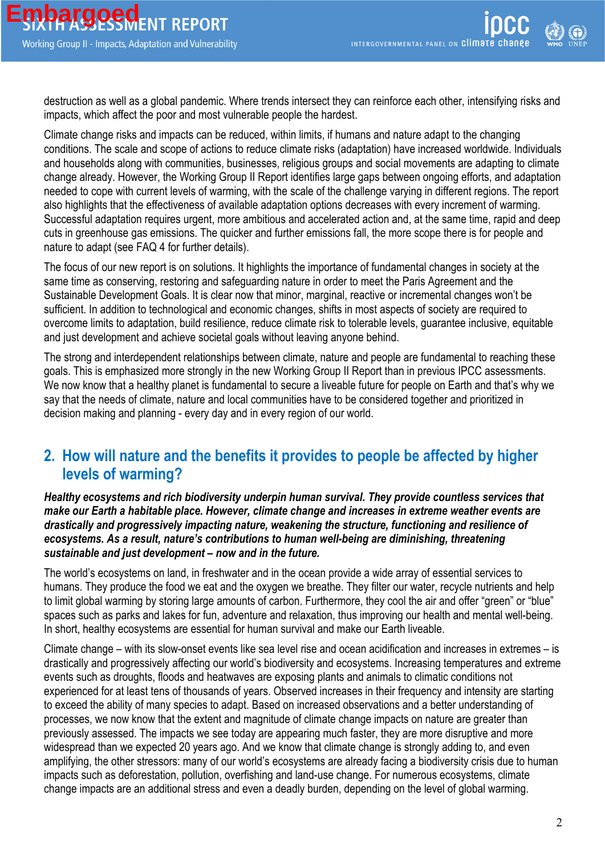destruction as well as a global pandemic. Where trends intersect they can reinforce each other, intensifying risks and impacts, which affect the poor and most vulnerable people the hardest.

Climate change risks and impacts can be reduced, within limits, if humans and nature adapt to the changing conditions. The scale and scope of actions to reduce climate risks (adaptation) have increased worldwide. Individuals and households along with communities, businesses, religious groups and social movements are adapting to climate change already. However, the Working Group II Report identifies large gaps between ongoing efforts, and adaptation needed to cope with current levels of warming, with the scale of the challenge varying in different regions. The report also highlights that the effectiveness of available adaptation options decreases with every increment of warming. Successful adaptation requires urgent, more ambitious and accelerated action and, at the same time, rapid and deep cuts in greenhouse gas emissions. The quicker and further emissions fall, the more scope there is for people and nature to adapt (see FAQ 4 for further details).

The focus of our new report is on solutions. It highlights the importance of fundamental changes in society at the same time as conserving, restoring and safeguarding nature in order to meet the Paris Agreement and the Sustainable Development Goals. It is clear now that minor, marginal, reactive or incremental changes won't be sufficient. In addition to technological and economic changes, shifts in most aspects of society are required to overcome limits to adaptation, build resilience, reduce climate risk to tolerable levels, guarantee inclusive, equitable and just development and achieve societal goals without leaving anyone behind.

The strong and interdependent relationships between climate, nature and people are fundamental to reaching these goals. This is emphasized more strongly in the new Working Group II Report than in previous IPCC assessments. We now know that a healthy planet is fundamental to secure a liveable future for people on Earth and that's why we say that the needs of climate, nature and local communities have to be considered together and prioritized in decision making and planning - every day and in every region of our world.

#### **2. How will nature and the benefits it provides to people be affected by higher levels of warming?**

*Healthy ecosystems and rich biodiversity underpin human survival. They provide countless services that make our Earth a habitable place. However, climate change and increases in extreme weather events are drastically and progressively impacting nature, weakening the structure, functioning and resilience of*  ecosystems. As a result, nature's contributions to human well-being are diminishing, threatening *sustainable and just development – now and in the future.*

The world's ecosystems on land, in freshwater and in the ocean provide a wide array of essential services to humans. They produce the food we eat and the oxygen we breathe. They filter our water, recycle nutrients and help to limit global warming by storing large amounts of carbon. Furthermore, they cool the air and offer "green" or "blue" spaces such as parks and lakes for fun, adventure and relaxation, thus improving our health and mental well-being. In short, healthy ecosystems are essential for human survival and make our Earth liveable.

Climate change – with its slow-onset events like sea level rise and ocean acidification and increases in extremes – is drastically and progressively affecting our world's biodiversity and ecosystems. Increasing temperatures and extreme events such as droughts, floods and heatwaves are exposing plants and animals to climatic conditions not experienced for at least tens of thousands of years. Observed increases in their frequency and intensity are starting to exceed the ability of many species to adapt. Based on increased observations and a better understanding of processes, we now know that the extent and magnitude of climate change impacts on nature are greater than previously assessed. The impacts we see today are appearing much faster, they are more disruptive and more widespread than we expected 20 years ago. And we know that climate change is strongly adding to, and even amplifying, the other stressors: many of our world's ecosystems are already facing a biodiversity crisis due to human impacts such as deforestation, pollution, overfishing and land-use change. For numerous ecosystems, climate change impacts are an additional stress and even a deadly burden, depending on the level of global warming.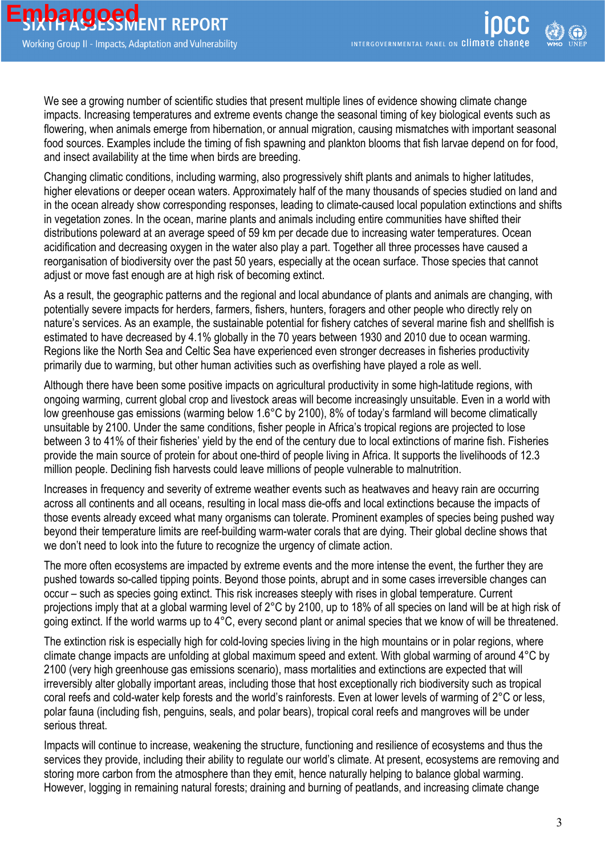We see a growing number of scientific studies that present multiple lines of evidence showing climate change impacts. Increasing temperatures and extreme events change the seasonal timing of key biological events such as flowering, when animals emerge from hibernation, or annual migration, causing mismatches with important seasonal food sources. Examples include the timing of fish spawning and plankton blooms that fish larvae depend on for food, and insect availability at the time when birds are breeding.

Changing climatic conditions, including warming, also progressively shift plants and animals to higher latitudes, higher elevations or deeper ocean waters. Approximately half of the many thousands of species studied on land and in the ocean already show corresponding responses, leading to climate-caused local population extinctions and shifts in vegetation zones. In the ocean, marine plants and animals including entire communities have shifted their distributions poleward at an average speed of 59 km per decade due to increasing water temperatures. Ocean acidification and decreasing oxygen in the water also play a part. Together all three processes have caused a reorganisation of biodiversity over the past 50 years, especially at the ocean surface. Those species that cannot adjust or move fast enough are at high risk of becoming extinct.

As a result, the geographic patterns and the regional and local abundance of plants and animals are changing, with potentially severe impacts for herders, farmers, fishers, hunters, foragers and other people who directly rely on nature's services. As an example, the sustainable potential for fishery catches of several marine fish and shellfish is estimated to have decreased by 4.1% globally in the 70 years between 1930 and 2010 due to ocean warming. Regions like the North Sea and Celtic Sea have experienced even stronger decreases in fisheries productivity primarily due to warming, but other human activities such as overfishing have played a role as well.

Although there have been some positive impacts on agricultural productivity in some high-latitude regions, with ongoing warming, current global crop and livestock areas will become increasingly unsuitable. Even in a world with low greenhouse gas emissions (warming below 1.6°C by 2100), 8% of today's farmland will become climatically unsuitable by 2100. Under the same conditions, fisher people in Africa's tropical regions are projected to lose between 3 to 41% of their fisheries' yield by the end of the century due to local extinctions of marine fish. Fisheries provide the main source of protein for about one-third of people living in Africa. It supports the livelihoods of 12.3 million people. Declining fish harvests could leave millions of people vulnerable to malnutrition.

Increases in frequency and severity of extreme weather events such as heatwaves and heavy rain are occurring across all continents and all oceans, resulting in local mass die-offs and local extinctions because the impacts of those events already exceed what many organisms can tolerate. Prominent examples of species being pushed way beyond their temperature limits are reef-building warm-water corals that are dying. Their global decline shows that we don't need to look into the future to recognize the urgency of climate action.

The more often ecosystems are impacted by extreme events and the more intense the event, the further they are pushed towards so-called tipping points. Beyond those points, abrupt and in some cases irreversible changes can occur – such as species going extinct. This risk increases steeply with rises in global temperature. Current projections imply that at a global warming level of 2°C by 2100, up to 18% of all species on land will be at high risk of going extinct. If the world warms up to 4°C, every second plant or animal species that we know of will be threatened.

The extinction risk is especially high for cold-loving species living in the high mountains or in polar regions, where climate change impacts are unfolding at global maximum speed and extent. With global warming of around 4°C by 2100 (very high greenhouse gas emissions scenario), mass mortalities and extinctions are expected that will irreversibly alter globally important areas, including those that host exceptionally rich biodiversity such as tropical coral reefs and cold-water kelp forests and the world's rainforests. Even at lower levels of warming of 2°C or less, polar fauna (including fish, penguins, seals, and polar bears), tropical coral reefs and mangroves will be under serious threat.

Impacts will continue to increase, weakening the structure, functioning and resilience of ecosystems and thus the services they provide, including their ability to regulate our world's climate. At present, ecosystems are removing and storing more carbon from the atmosphere than they emit, hence naturally helping to balance global warming. However, logging in remaining natural forests; draining and burning of peatlands, and increasing climate change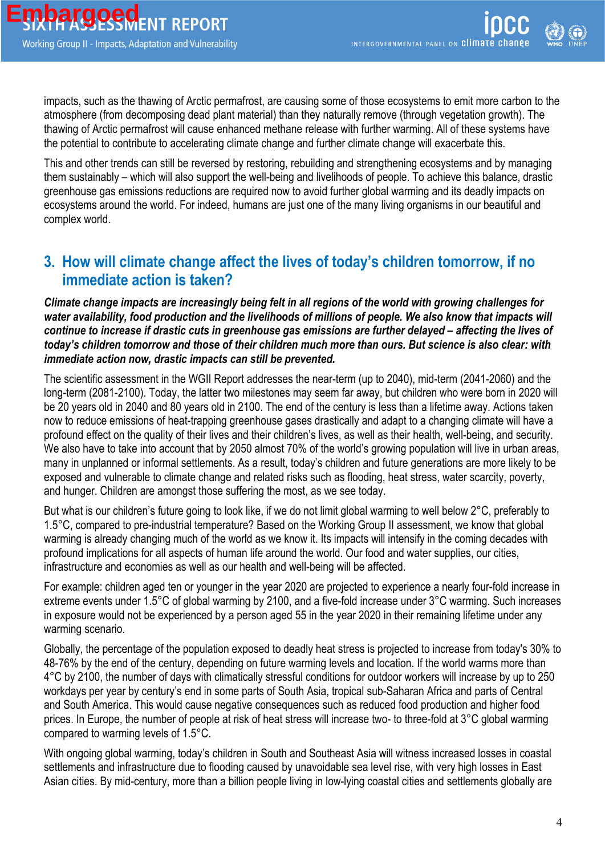impacts, such as the thawing of Arctic permafrost, are causing some of those ecosystems to emit more carbon to the atmosphere (from decomposing dead plant material) than they naturally remove (through vegetation growth). The thawing of Arctic permafrost will cause enhanced methane release with further warming. All of these systems have the potential to contribute to accelerating climate change and further climate change will exacerbate this.

This and other trends can still be reversed by restoring, rebuilding and strengthening ecosystems and by managing them sustainably – which will also support the well-being and livelihoods of people. To achieve this balance, drastic greenhouse gas emissions reductions are required now to avoid further global warming and its deadly impacts on ecosystems around the world. For indeed, humans are just one of the many living organisms in our beautiful and complex world.

### **3. How will climate change affect the lives of today's children tomorrow, if no immediate action is taken?**

*Climate change impacts are increasingly being felt in all regions of the world with growing challenges for*  water availability, food production and the livelihoods of millions of people. We also know that impacts will *continue to increase if drastic cuts in greenhouse gas emissions are further delayed – affecting the lives of today's children tomorrow and those of their children much more than ours. But science is also clear: with immediate action now, drastic impacts can still be prevented.*

The scientific assessment in the WGII Report addresses the near-term (up to 2040), mid-term (2041-2060) and the long-term (2081-2100). Today, the latter two milestones may seem far away, but children who were born in 2020 will be 20 years old in 2040 and 80 years old in 2100. The end of the century is less than a lifetime away. Actions taken now to reduce emissions of heat-trapping greenhouse gases drastically and adapt to a changing climate will have a profound effect on the quality of their lives and their children's lives, as well as their health, well-being, and security. We also have to take into account that by 2050 almost 70% of the world's growing population will live in urban areas, many in unplanned or informal settlements. As a result, today's children and future generations are more likely to be exposed and vulnerable to climate change and related risks such as flooding, heat stress, water scarcity, poverty, and hunger. Children are amongst those suffering the most, as we see today.

But what is our children's future going to look like, if we do not limit global warming to well below 2°C, preferably to 1.5°C, compared to pre-industrial temperature? Based on the Working Group II assessment, we know that global warming is already changing much of the world as we know it. Its impacts will intensify in the coming decades with profound implications for all aspects of human life around the world. Our food and water supplies, our cities, infrastructure and economies as well as our health and well-being will be affected.

For example: children aged ten or younger in the year 2020 are projected to experience a nearly four-fold increase in extreme events under 1.5°C of global warming by 2100, and a five-fold increase under 3°C warming. Such increases in exposure would not be experienced by a person aged 55 in the year 2020 in their remaining lifetime under any warming scenario.

Globally, the percentage of the population exposed to deadly heat stress is projected to increase from today's 30% to 48-76% by the end of the century, depending on future warming levels and location. If the world warms more than 4°C by 2100, the number of days with climatically stressful conditions for outdoor workers will increase by up to 250 workdays per year by century's end in some parts of South Asia, tropical sub-Saharan Africa and parts of Central and South America. This would cause negative consequences such as reduced food production and higher food prices. In Europe, the number of people at risk of heat stress will increase two- to three-fold at 3°C global warming compared to warming levels of 1.5°C.

With ongoing global warming, today's children in South and Southeast Asia will witness increased losses in coastal settlements and infrastructure due to flooding caused by unavoidable sea level rise, with very high losses in East Asian cities. By mid-century, more than a billion people living in low-lying coastal cities and settlements globally are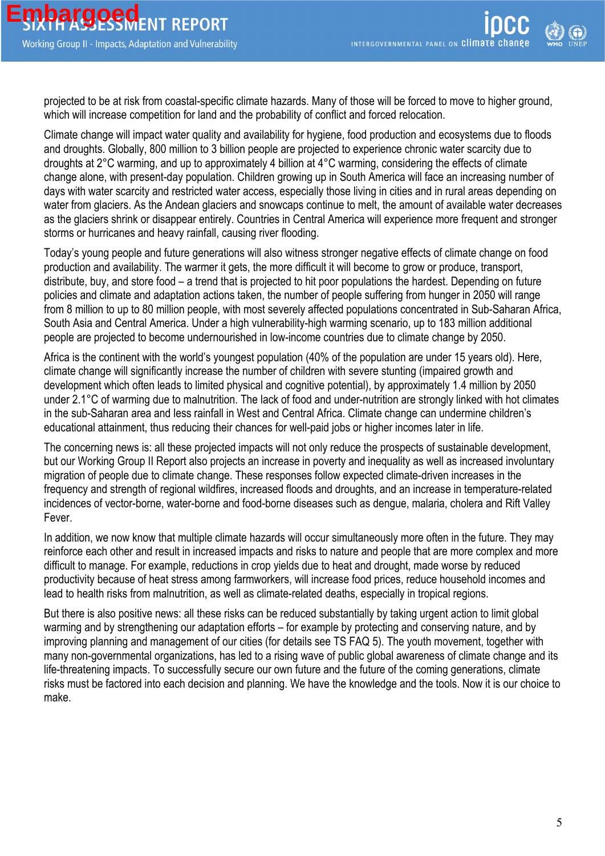projected to be at risk from coastal-specific climate hazards. Many of those will be forced to move to higher ground, which will increase competition for land and the probability of conflict and forced relocation.

Climate change will impact water quality and availability for hygiene, food production and ecosystems due to floods and droughts. Globally, 800 million to 3 billion people are projected to experience chronic water scarcity due to droughts at 2°C warming, and up to approximately 4 billion at 4°C warming, considering the effects of climate change alone, with present-day population. Children growing up in South America will face an increasing number of days with water scarcity and restricted water access, especially those living in cities and in rural areas depending on water from glaciers. As the Andean glaciers and snowcaps continue to melt, the amount of available water decreases as the glaciers shrink or disappear entirely. Countries in Central America will experience more frequent and stronger storms or hurricanes and heavy rainfall, causing river flooding.

Today's young people and future generations will also witness stronger negative effects of climate change on food production and availability. The warmer it gets, the more difficult it will become to grow or produce, transport, distribute, buy, and store food – a trend that is projected to hit poor populations the hardest. Depending on future policies and climate and adaptation actions taken, the number of people suffering from hunger in 2050 will range from 8 million to up to 80 million people, with most severely affected populations concentrated in Sub-Saharan Africa, South Asia and Central America. Under a high vulnerability-high warming scenario, up to 183 million additional people are projected to become undernourished in low-income countries due to climate change by 2050.

Africa is the continent with the world's youngest population (40% of the population are under 15 years old). Here, climate change will significantly increase the number of children with severe stunting (impaired growth and development which often leads to limited physical and cognitive potential), by approximately 1.4 million by 2050 under 2.1°C of warming due to malnutrition. The lack of food and under-nutrition are strongly linked with hot climates in the sub-Saharan area and less rainfall in West and Central Africa. Climate change can undermine children's educational attainment, thus reducing their chances for well-paid jobs or higher incomes later in life.

The concerning news is: all these projected impacts will not only reduce the prospects of sustainable development, but our Working Group II Report also projects an increase in poverty and inequality as well as increased involuntary migration of people due to climate change. These responses follow expected climate-driven increases in the frequency and strength of regional wildfires, increased floods and droughts, and an increase in temperature-related incidences of vector-borne, water-borne and food-borne diseases such as dengue, malaria, cholera and Rift Valley Fever.

In addition, we now know that multiple climate hazards will occur simultaneously more often in the future. They may reinforce each other and result in increased impacts and risks to nature and people that are more complex and more difficult to manage. For example, reductions in crop yields due to heat and drought, made worse by reduced productivity because of heat stress among farmworkers, will increase food prices, reduce household incomes and lead to health risks from malnutrition, as well as climate-related deaths, especially in tropical regions.

But there is also positive news: all these risks can be reduced substantially by taking urgent action to limit global warming and by strengthening our adaptation efforts – for example by protecting and conserving nature, and by improving planning and management of our cities (for details see TS FAQ 5). The youth movement, together with many non-governmental organizations, has led to a rising wave of public global awareness of climate change and its life-threatening impacts. To successfully secure our own future and the future of the coming generations, climate risks must be factored into each decision and planning. We have the knowledge and the tools. Now it is our choice to make.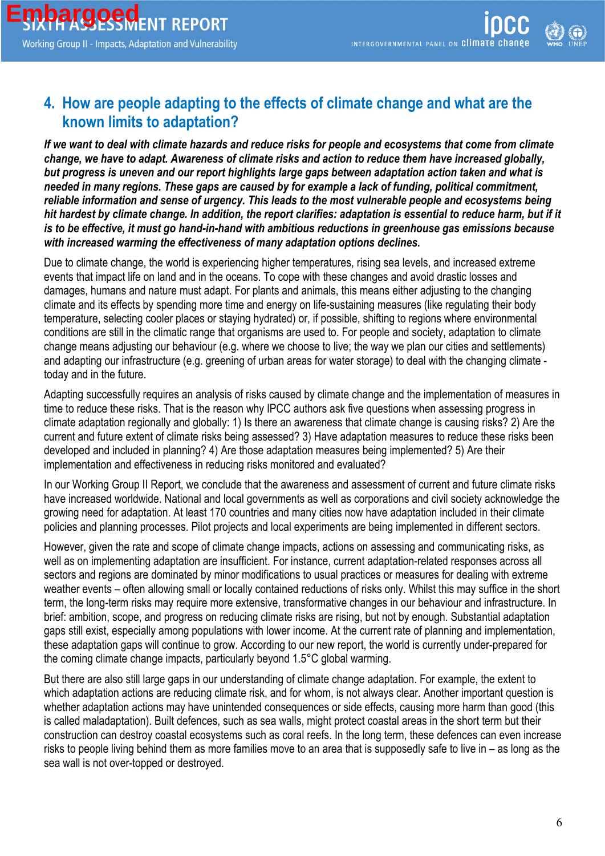#### **4. How are people adapting to the effects of climate change and what are the known limits to adaptation?**

*If we want to deal with climate hazards and reduce risks for people and ecosystems that come from climate change, we have to adapt. Awareness of climate risks and action to reduce them have increased globally, but progress is uneven and our report highlights large gaps between adaptation action taken and what is needed in many regions. These gaps are caused by for example a lack of funding, political commitment, reliable information and sense of urgency. This leads to the most vulnerable people and ecosystems being*  hit hardest by climate change. In addition, the report clarifies: adaptation is essential to reduce harm, but if it *is to be effective, it must go hand-in-hand with ambitious reductions in greenhouse gas emissions because with increased warming the effectiveness of many adaptation options declines.*

Due to climate change, the world is experiencing higher temperatures, rising sea levels, and increased extreme events that impact life on land and in the oceans. To cope with these changes and avoid drastic losses and damages, humans and nature must adapt. For plants and animals, this means either adjusting to the changing climate and its effects by spending more time and energy on life-sustaining measures (like regulating their body temperature, selecting cooler places or staying hydrated) or, if possible, shifting to regions where environmental conditions are still in the climatic range that organisms are used to. For people and society, adaptation to climate change means adjusting our behaviour (e.g. where we choose to live; the way we plan our cities and settlements) and adapting our infrastructure (e.g. greening of urban areas for water storage) to deal with the changing climate today and in the future.

Adapting successfully requires an analysis of risks caused by climate change and the implementation of measures in time to reduce these risks. That is the reason why IPCC authors ask five questions when assessing progress in climate adaptation regionally and globally: 1) Is there an awareness that climate change is causing risks? 2) Are the current and future extent of climate risks being assessed? 3) Have adaptation measures to reduce these risks been developed and included in planning? 4) Are those adaptation measures being implemented? 5) Are their implementation and effectiveness in reducing risks monitored and evaluated?

In our Working Group II Report, we conclude that the awareness and assessment of current and future climate risks have increased worldwide. National and local governments as well as corporations and civil society acknowledge the growing need for adaptation. At least 170 countries and many cities now have adaptation included in their climate policies and planning processes. Pilot projects and local experiments are being implemented in different sectors.

However, given the rate and scope of climate change impacts, actions on assessing and communicating risks, as well as on implementing adaptation are insufficient. For instance, current adaptation-related responses across all sectors and regions are dominated by minor modifications to usual practices or measures for dealing with extreme weather events – often allowing small or locally contained reductions of risks only. Whilst this may suffice in the short term, the long-term risks may require more extensive, transformative changes in our behaviour and infrastructure. In brief: ambition, scope, and progress on reducing climate risks are rising, but not by enough. Substantial adaptation gaps still exist, especially among populations with lower income. At the current rate of planning and implementation, these adaptation gaps will continue to grow. According to our new report, the world is currently under-prepared for the coming climate change impacts, particularly beyond 1.5°C global warming.

But there are also still large gaps in our understanding of climate change adaptation. For example, the extent to which adaptation actions are reducing climate risk, and for whom, is not always clear. Another important question is whether adaptation actions may have unintended consequences or side effects, causing more harm than good (this is called maladaptation). Built defences, such as sea walls, might protect coastal areas in the short term but their construction can destroy coastal ecosystems such as coral reefs. In the long term, these defences can even increase risks to people living behind them as more families move to an area that is supposedly safe to live in – as long as the sea wall is not over-topped or destroyed.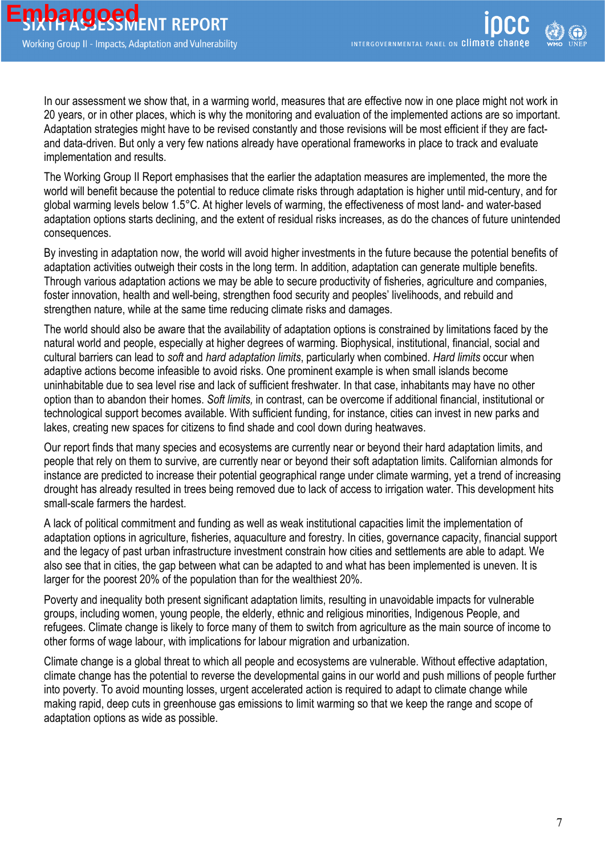In our assessment we show that, in a warming world, measures that are effective now in one place might not work in 20 years, or in other places, which is why the monitoring and evaluation of the implemented actions are so important. Adaptation strategies might have to be revised constantly and those revisions will be most efficient if they are factand data-driven. But only a very few nations already have operational frameworks in place to track and evaluate implementation and results.

The Working Group II Report emphasises that the earlier the adaptation measures are implemented, the more the world will benefit because the potential to reduce climate risks through adaptation is higher until mid-century, and for global warming levels below 1.5°C. At higher levels of warming, the effectiveness of most land- and water-based adaptation options starts declining, and the extent of residual risks increases, as do the chances of future unintended consequences.

By investing in adaptation now, the world will avoid higher investments in the future because the potential benefits of adaptation activities outweigh their costs in the long term. In addition, adaptation can generate multiple benefits. Through various adaptation actions we may be able to secure productivity of fisheries, agriculture and companies, foster innovation, health and well-being, strengthen food security and peoples' livelihoods, and rebuild and strengthen nature, while at the same time reducing climate risks and damages.

The world should also be aware that the availability of adaptation options is constrained by limitations faced by the natural world and people, especially at higher degrees of warming. Biophysical, institutional, financial, social and cultural barriers can lead to *soft* and *hard adaptation limits*, particularly when combined. *Hard limits* occur when adaptive actions become infeasible to avoid risks. One prominent example is when small islands become uninhabitable due to sea level rise and lack of sufficient freshwater. In that case, inhabitants may have no other option than to abandon their homes. *Soft limits,* in contrast, can be overcome if additional financial, institutional or technological support becomes available. With sufficient funding, for instance, cities can invest in new parks and lakes, creating new spaces for citizens to find shade and cool down during heatwaves.

Our report finds that many species and ecosystems are currently near or beyond their hard adaptation limits, and people that rely on them to survive, are currently near or beyond their soft adaptation limits. Californian almonds for instance are predicted to increase their potential geographical range under climate warming, yet a trend of increasing drought has already resulted in trees being removed due to lack of access to irrigation water. This development hits small-scale farmers the hardest.

A lack of political commitment and funding as well as weak institutional capacities limit the implementation of adaptation options in agriculture, fisheries, aquaculture and forestry. In cities, governance capacity, financial support and the legacy of past urban infrastructure investment constrain how cities and settlements are able to adapt. We also see that in cities, the gap between what can be adapted to and what has been implemented is uneven. It is larger for the poorest 20% of the population than for the wealthiest 20%.

Poverty and inequality both present significant adaptation limits, resulting in unavoidable impacts for vulnerable groups, including women, young people, the elderly, ethnic and religious minorities, Indigenous People, and refugees. Climate change is likely to force many of them to switch from agriculture as the main source of income to other forms of wage labour, with implications for labour migration and urbanization.

Climate change is a global threat to which all people and ecosystems are vulnerable. Without effective adaptation, climate change has the potential to reverse the developmental gains in our world and push millions of people further into poverty. To avoid mounting losses, urgent accelerated action is required to adapt to climate change while making rapid, deep cuts in greenhouse gas emissions to limit warming so that we keep the range and scope of adaptation options as wide as possible.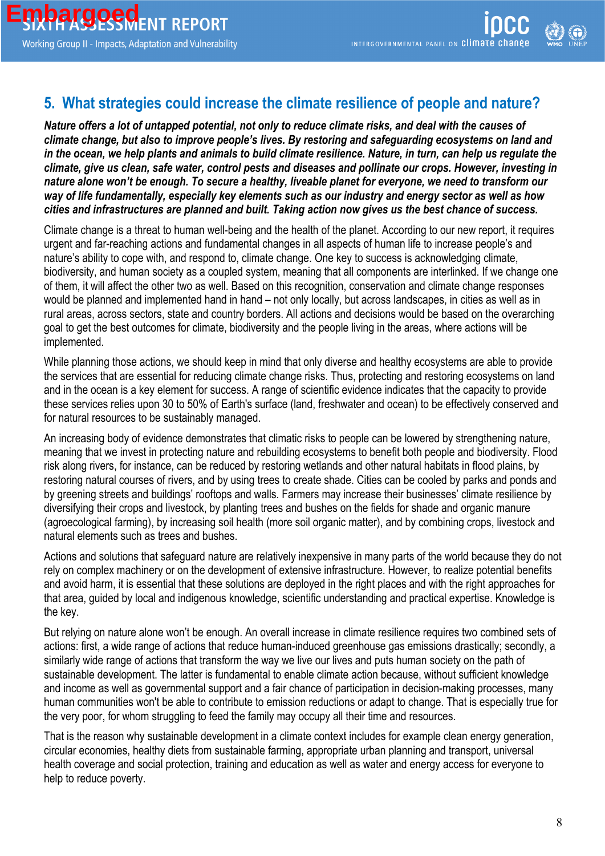## **5. What strategies could increase the climate resilience of people and nature?**

*Nature offers a lot of untapped potential, not only to reduce climate risks, and deal with the causes of climate change, but also to improve people's lives. By restoring and safeguarding ecosystems on land and in the ocean, we help plants and animals to build climate resilience. Nature, in turn, can help us regulate the climate, give us clean, safe water, control pests and diseases and pollinate our crops. However, investing in nature alone won't be enough. To secure a healthy, liveable planet for everyone, we need to transform our way of life fundamentally, especially key elements such as our industry and energy sector as well as how cities and infrastructures are planned and built. Taking action now gives us the best chance of success.*

Climate change is a threat to human well-being and the health of the planet. According to our new report, it requires urgent and far-reaching actions and fundamental changes in all aspects of human life to increase people's and nature's ability to cope with, and respond to, climate change. One key to success is acknowledging climate, biodiversity, and human society as a coupled system, meaning that all components are interlinked. If we change one of them, it will affect the other two as well. Based on this recognition, conservation and climate change responses would be planned and implemented hand in hand – not only locally, but across landscapes, in cities as well as in rural areas, across sectors, state and country borders. All actions and decisions would be based on the overarching goal to get the best outcomes for climate, biodiversity and the people living in the areas, where actions will be implemented.

While planning those actions, we should keep in mind that only diverse and healthy ecosystems are able to provide the services that are essential for reducing climate change risks. Thus, protecting and restoring ecosystems on land and in the ocean is a key element for success. A range of scientific evidence indicates that the capacity to provide these services relies upon 30 to 50% of Earth's surface (land, freshwater and ocean) to be effectively conserved and for natural resources to be sustainably managed.

An increasing body of evidence demonstrates that climatic risks to people can be lowered by strengthening nature, meaning that we invest in protecting nature and rebuilding ecosystems to benefit both people and biodiversity. Flood risk along rivers, for instance, can be reduced by restoring wetlands and other natural habitats in flood plains, by restoring natural courses of rivers, and by using trees to create shade. Cities can be cooled by parks and ponds and by greening streets and buildings' rooftops and walls. Farmers may increase their businesses' climate resilience by diversifying their crops and livestock, by planting trees and bushes on the fields for shade and organic manure (agroecological farming), by increasing soil health (more soil organic matter), and by combining crops, livestock and natural elements such as trees and bushes.

Actions and solutions that safeguard nature are relatively inexpensive in many parts of the world because they do not rely on complex machinery or on the development of extensive infrastructure. However, to realize potential benefits and avoid harm, it is essential that these solutions are deployed in the right places and with the right approaches for that area, guided by local and indigenous knowledge, scientific understanding and practical expertise. Knowledge is the key.

But relying on nature alone won't be enough. An overall increase in climate resilience requires two combined sets of actions: first, a wide range of actions that reduce human-induced greenhouse gas emissions drastically; secondly, a similarly wide range of actions that transform the way we live our lives and puts human society on the path of sustainable development. The latter is fundamental to enable climate action because, without sufficient knowledge and income as well as governmental support and a fair chance of participation in decision-making processes, many human communities won't be able to contribute to emission reductions or adapt to change. That is especially true for the very poor, for whom struggling to feed the family may occupy all their time and resources.

That is the reason why sustainable development in a climate context includes for example clean energy generation, circular economies, healthy diets from sustainable farming, appropriate urban planning and transport, universal health coverage and social protection, training and education as well as water and energy access for everyone to help to reduce poverty.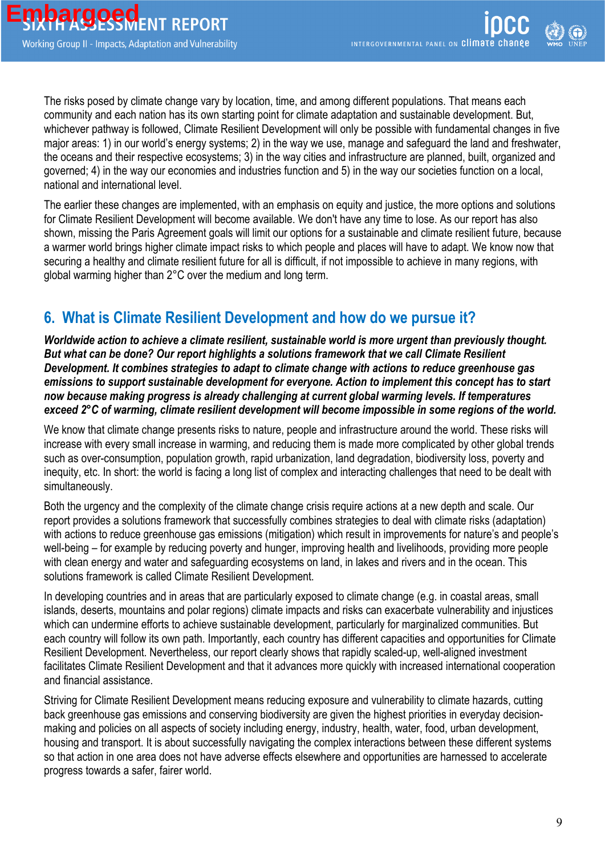The risks posed by climate change vary by location, time, and among different populations. That means each community and each nation has its own starting point for climate adaptation and sustainable development. But, whichever pathway is followed, Climate Resilient Development will only be possible with fundamental changes in five major areas: 1) in our world's energy systems; 2) in the way we use, manage and safeguard the land and freshwater, the oceans and their respective ecosystems; 3) in the way cities and infrastructure are planned, built, organized and governed; 4) in the way our economies and industries function and 5) in the way our societies function on a local, national and international level.

The earlier these changes are implemented, with an emphasis on equity and justice, the more options and solutions for Climate Resilient Development will become available. We don't have any time to lose. As our report has also shown, missing the Paris Agreement goals will limit our options for a sustainable and climate resilient future, because a warmer world brings higher climate impact risks to which people and places will have to adapt. We know now that securing a healthy and climate resilient future for all is difficult, if not impossible to achieve in many regions, with global warming higher than 2°C over the medium and long term.

# **6. What is Climate Resilient Development and how do we pursue it?**

*Worldwide action to achieve a climate resilient, sustainable world is more urgent than previously thought. But what can be done? Our report highlights a solutions framework that we call Climate Resilient Development. It combines strategies to adapt to climate change with actions to reduce greenhouse gas emissions to support sustainable development for everyone. Action to implement this concept has to start now because making progress is already challenging at current global warming levels. If temperatures exceed 2°C of warming, climate resilient development will become impossible in some regions of the world.*

We know that climate change presents risks to nature, people and infrastructure around the world. These risks will increase with every small increase in warming, and reducing them is made more complicated by other global trends such as over-consumption, population growth, rapid urbanization, land degradation, biodiversity loss, poverty and inequity, etc. In short: the world is facing a long list of complex and interacting challenges that need to be dealt with simultaneously.

Both the urgency and the complexity of the climate change crisis require actions at a new depth and scale. Our report provides a solutions framework that successfully combines strategies to deal with climate risks (adaptation) with actions to reduce greenhouse gas emissions (mitigation) which result in improvements for nature's and people's well-being – for example by reducing poverty and hunger, improving health and livelihoods, providing more people with clean energy and water and safeguarding ecosystems on land, in lakes and rivers and in the ocean. This solutions framework is called Climate Resilient Development.

In developing countries and in areas that are particularly exposed to climate change (e.g. in coastal areas, small islands, deserts, mountains and polar regions) climate impacts and risks can exacerbate vulnerability and injustices which can undermine efforts to achieve sustainable development, particularly for marginalized communities. But each country will follow its own path. Importantly, each country has different capacities and opportunities for Climate Resilient Development. Nevertheless, our report clearly shows that rapidly scaled-up, well-aligned investment facilitates Climate Resilient Development and that it advances more quickly with increased international cooperation and financial assistance.

Striving for Climate Resilient Development means reducing exposure and vulnerability to climate hazards, cutting back greenhouse gas emissions and conserving biodiversity are given the highest priorities in everyday decisionmaking and policies on all aspects of society including energy, industry, health, water, food, urban development, housing and transport. It is about successfully navigating the complex interactions between these different systems so that action in one area does not have adverse effects elsewhere and opportunities are harnessed to accelerate progress towards a safer, fairer world.